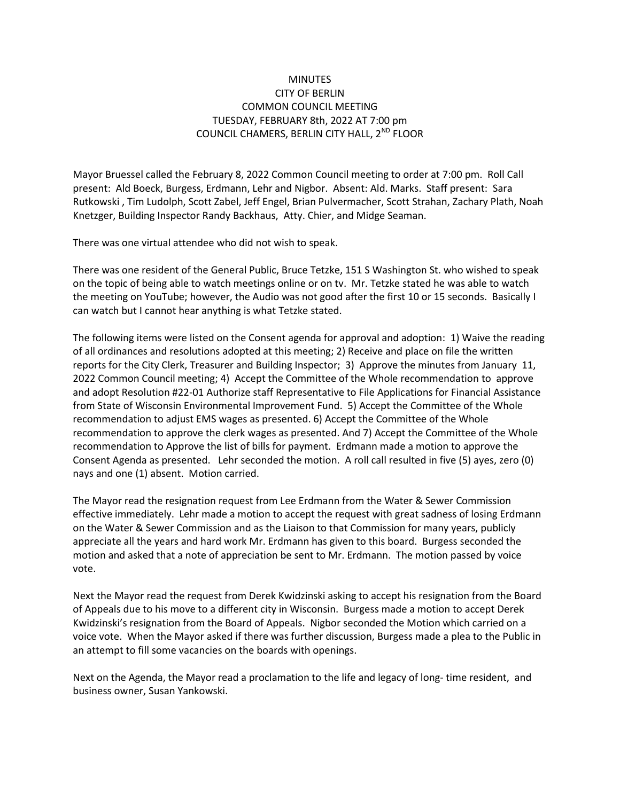## **MINUTES** CITY OF BERLIN COMMON COUNCIL MEETING TUESDAY, FEBRUARY 8th, 2022 AT 7:00 pm COUNCIL CHAMERS, BERLIN CITY HALL, 2<sup>ND</sup> FLOOR

Mayor Bruessel called the February 8, 2022 Common Council meeting to order at 7:00 pm. Roll Call present: Ald Boeck, Burgess, Erdmann, Lehr and Nigbor. Absent: Ald. Marks. Staff present: Sara Rutkowski , Tim Ludolph, Scott Zabel, Jeff Engel, Brian Pulvermacher, Scott Strahan, Zachary Plath, Noah Knetzger, Building Inspector Randy Backhaus, Atty. Chier, and Midge Seaman.

There was one virtual attendee who did not wish to speak.

There was one resident of the General Public, Bruce Tetzke, 151 S Washington St. who wished to speak on the topic of being able to watch meetings online or on tv. Mr. Tetzke stated he was able to watch the meeting on YouTube; however, the Audio was not good after the first 10 or 15 seconds. Basically I can watch but I cannot hear anything is what Tetzke stated.

The following items were listed on the Consent agenda for approval and adoption: 1) Waive the reading of all ordinances and resolutions adopted at this meeting; 2) Receive and place on file the written reports for the City Clerk, Treasurer and Building Inspector; 3) Approve the minutes from January 11, 2022 Common Council meeting; 4) Accept the Committee of the Whole recommendation to approve and adopt Resolution #22-01 Authorize staff Representative to File Applications for Financial Assistance from State of Wisconsin Environmental Improvement Fund. 5) Accept the Committee of the Whole recommendation to adjust EMS wages as presented. 6) Accept the Committee of the Whole recommendation to approve the clerk wages as presented. And 7) Accept the Committee of the Whole recommendation to Approve the list of bills for payment. Erdmann made a motion to approve the Consent Agenda as presented. Lehr seconded the motion. A roll call resulted in five (5) ayes, zero (0) nays and one (1) absent. Motion carried.

The Mayor read the resignation request from Lee Erdmann from the Water & Sewer Commission effective immediately. Lehr made a motion to accept the request with great sadness of losing Erdmann on the Water & Sewer Commission and as the Liaison to that Commission for many years, publicly appreciate all the years and hard work Mr. Erdmann has given to this board. Burgess seconded the motion and asked that a note of appreciation be sent to Mr. Erdmann. The motion passed by voice vote.

Next the Mayor read the request from Derek Kwidzinski asking to accept his resignation from the Board of Appeals due to his move to a different city in Wisconsin. Burgess made a motion to accept Derek Kwidzinski's resignation from the Board of Appeals. Nigbor seconded the Motion which carried on a voice vote. When the Mayor asked if there was further discussion, Burgess made a plea to the Public in an attempt to fill some vacancies on the boards with openings.

Next on the Agenda, the Mayor read a proclamation to the life and legacy of long- time resident, and business owner, Susan Yankowski.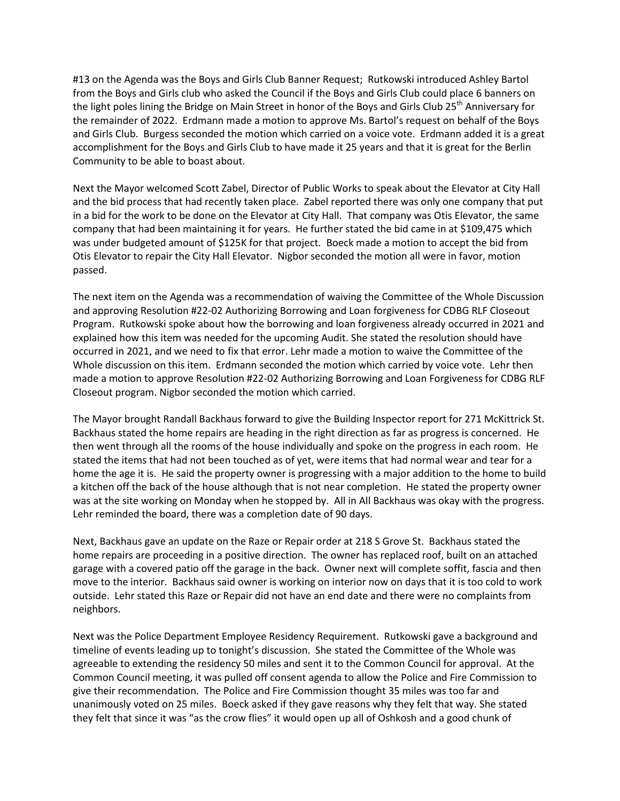#13 on the Agenda was the Boys and Girls Club Banner Request; Rutkowski introduced Ashley Bartol from the Boys and Girls club who asked the Council if the Boys and Girls Club could place 6 banners on the light poles lining the Bridge on Main Street in honor of the Boys and Girls Club 25<sup>th</sup> Anniversary for the remainder of 2022. Erdmann made a motion to approve Ms. Bartol's request on behalf of the Boys and Girls Club. Burgess seconded the motion which carried on a voice vote. Erdmann added it is a great accomplishment for the Boys and Girls Club to have made it 25 years and that it is great for the Berlin Community to be able to boast about.

Next the Mayor welcomed Scott Zabel, Director of Public Works to speak about the Elevator at City Hall and the bid process that had recently taken place. Zabel reported there was only one company that put in a bid for the work to be done on the Elevator at City Hall. That company was Otis Elevator, the same company that had been maintaining it for years. He further stated the bid came in at \$109,475 which was under budgeted amount of \$125K for that project. Boeck made a motion to accept the bid from Otis Elevator to repair the City Hall Elevator. Nigbor seconded the motion all were in favor, motion passed.

The next item on the Agenda was a recommendation of waiving the Committee of the Whole Discussion and approving Resolution #22-02 Authorizing Borrowing and Loan forgiveness for CDBG RLF Closeout Program. Rutkowski spoke about how the borrowing and loan forgiveness already occurred in 2021 and explained how this item was needed for the upcoming Audit. She stated the resolution should have occurred in 2021, and we need to fix that error. Lehr made a motion to waive the Committee of the Whole discussion on this item. Erdmann seconded the motion which carried by voice vote. Lehr then made a motion to approve Resolution #22-02 Authorizing Borrowing and Loan Forgiveness for CDBG RLF Closeout program. Nigbor seconded the motion which carried.

The Mayor brought Randall Backhaus forward to give the Building Inspector report for 271 McKittrick St. Backhaus stated the home repairs are heading in the right direction as far as progress is concerned. He then went through all the rooms of the house individually and spoke on the progress in each room. He stated the items that had not been touched as of yet, were items that had normal wear and tear for a home the age it is. He said the property owner is progressing with a major addition to the home to build a kitchen off the back of the house although that is not near completion. He stated the property owner was at the site working on Monday when he stopped by. All in All Backhaus was okay with the progress. Lehr reminded the board, there was a completion date of 90 days.

Next, Backhaus gave an update on the Raze or Repair order at 218 S Grove St. Backhaus stated the home repairs are proceeding in a positive direction. The owner has replaced roof, built on an attached garage with a covered patio off the garage in the back. Owner next will complete soffit, fascia and then move to the interior. Backhaus said owner is working on interior now on days that it is too cold to work outside. Lehr stated this Raze or Repair did not have an end date and there were no complaints from neighbors.

Next was the Police Department Employee Residency Requirement. Rutkowski gave a background and timeline of events leading up to tonight's discussion. She stated the Committee of the Whole was agreeable to extending the residency 50 miles and sent it to the Common Council for approval. At the Common Council meeting, it was pulled off consent agenda to allow the Police and Fire Commission to give their recommendation. The Police and Fire Commission thought 35 miles was too far and unanimously voted on 25 miles. Boeck asked if they gave reasons why they felt that way. She stated they felt that since it was "as the crow flies" it would open up all of Oshkosh and a good chunk of